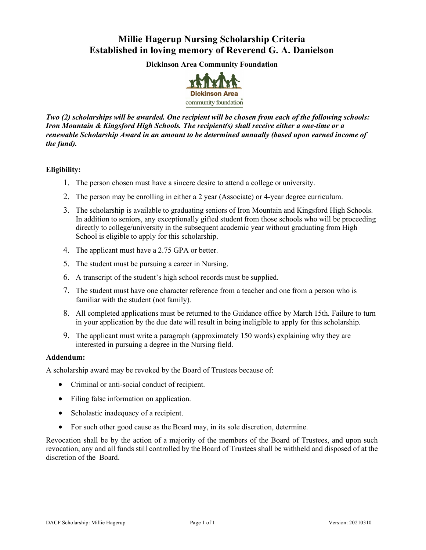## **Millie Hagerup Nursing Scholarship Criteria Established in loving memory of Reverend G. A. Danielson**

**Dickinson Area Community Foundation**



*Two (2) scholarships will be awarded. One recipient will be chosen from each of the following schools: Iron Mountain & Kingsford High Schools. The recipient(s) shall receive either a one-time or a renewable Scholarship Award in an amount to be determined annually (based upon earned income of the fund).*

#### **Eligibility:**

- 1. The person chosen must have a sincere desire to attend a college or university.
- 2. The person may be enrolling in either a 2 year (Associate) or 4-year degree curriculum.
- 3. The scholarship is available to graduating seniors of Iron Mountain and Kingsford High Schools. In addition to seniors, any exceptionally gifted student from those schools who will be proceeding directly to college/university in the subsequent academic year without graduating from High School is eligible to apply for this scholarship.
- 4. The applicant must have a 2.75 GPA or better.
- 5. The student must be pursuing a career in Nursing.
- 6. A transcript of the student's high school records must be supplied.
- 7. The student must have one character reference from a teacher and one from a person who is familiar with the student (not family).
- 8. All completed applications must be returned to the Guidance office by March 15th. Failure to turn in your application by the due date will result in being ineligible to apply for this scholarship.
- 9. The applicant must write a paragraph (approximately 150 words) explaining why they are interested in pursuing a degree in the Nursing field.

#### **Addendum:**

A scholarship award may be revoked by the Board of Trustees because of:

- Criminal or anti-social conduct of recipient.
- Filing false information on application.
- Scholastic inadequacy of a recipient.
- For such other good cause as the Board may, in its sole discretion, determine.

Revocation shall be by the action of a majority of the members of the Board of Trustees, and upon such revocation, any and all funds still controlled by the Board of Trustees shall be withheld and disposed of at the discretion of the Board.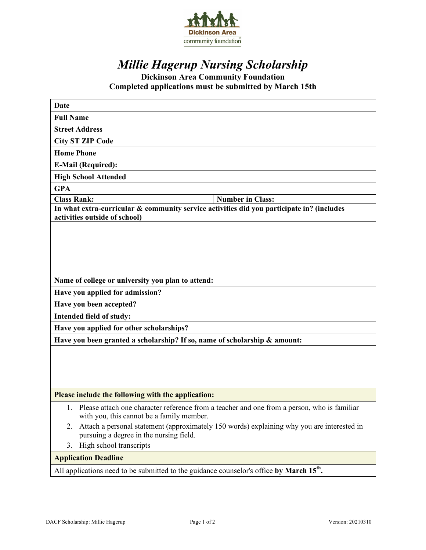

# *Millie Hagerup Nursing Scholarship*

**Dickinson Area Community Foundation Completed applications must be submitted by March 15th**

| <b>Date</b>                                                                                                                                 |                         |  |
|---------------------------------------------------------------------------------------------------------------------------------------------|-------------------------|--|
| <b>Full Name</b>                                                                                                                            |                         |  |
| <b>Street Address</b>                                                                                                                       |                         |  |
| <b>City ST ZIP Code</b>                                                                                                                     |                         |  |
| <b>Home Phone</b>                                                                                                                           |                         |  |
| <b>E-Mail (Required):</b>                                                                                                                   |                         |  |
| <b>High School Attended</b>                                                                                                                 |                         |  |
| <b>GPA</b>                                                                                                                                  |                         |  |
| <b>Class Rank:</b>                                                                                                                          | <b>Number in Class:</b> |  |
| In what extra-curricular & community service activities did you participate in? (includes<br>activities outside of school)                  |                         |  |
|                                                                                                                                             |                         |  |
|                                                                                                                                             |                         |  |
|                                                                                                                                             |                         |  |
|                                                                                                                                             |                         |  |
| Name of college or university you plan to attend:                                                                                           |                         |  |
| Have you applied for admission?                                                                                                             |                         |  |
| Have you been accepted?                                                                                                                     |                         |  |
| Intended field of study:                                                                                                                    |                         |  |
| Have you applied for other scholarships?                                                                                                    |                         |  |
| Have you been granted a scholarship? If so, name of scholarship & amount:                                                                   |                         |  |
|                                                                                                                                             |                         |  |
|                                                                                                                                             |                         |  |
|                                                                                                                                             |                         |  |
|                                                                                                                                             |                         |  |
| Please include the following with the application:                                                                                          |                         |  |
| 1. Please attach one character reference from a teacher and one from a person, who is familiar<br>with you, this cannot be a family member. |                         |  |
| Attach a personal statement (approximately 150 words) explaining why you are interested in<br>2.<br>pursuing a degree in the nursing field. |                         |  |
| High school transcripts<br>3.                                                                                                               |                         |  |
| <b>Application Deadline</b>                                                                                                                 |                         |  |
| All applications need to be submitted to the guidance counselor's office by March 15 <sup>th</sup> .                                        |                         |  |